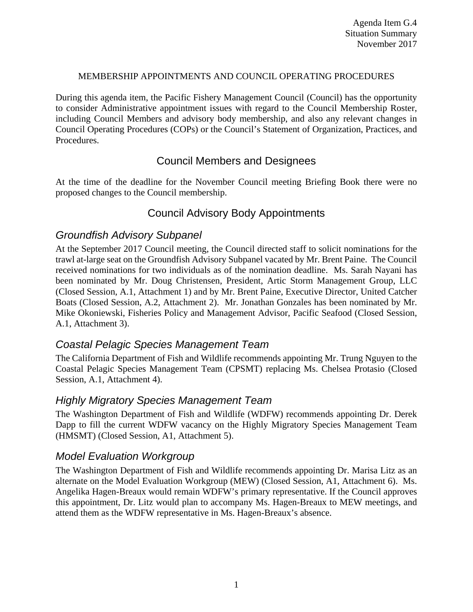#### MEMBERSHIP APPOINTMENTS AND COUNCIL OPERATING PROCEDURES

During this agenda item, the Pacific Fishery Management Council (Council) has the opportunity to consider Administrative appointment issues with regard to the Council Membership Roster, including Council Members and advisory body membership, and also any relevant changes in Council Operating Procedures (COPs) or the Council's Statement of Organization, Practices, and Procedures.

# Council Members and Designees

At the time of the deadline for the November Council meeting Briefing Book there were no proposed changes to the Council membership.

## Council Advisory Body Appointments

### *Groundfish Advisory Subpanel*

At the September 2017 Council meeting, the Council directed staff to solicit nominations for the trawl at-large seat on the Groundfish Advisory Subpanel vacated by Mr. Brent Paine. The Council received nominations for two individuals as of the nomination deadline. Ms. Sarah Nayani has been nominated by Mr. Doug Christensen, President, Artic Storm Management Group, LLC (Closed Session, A.1, Attachment 1) and by Mr. Brent Paine, Executive Director, United Catcher Boats (Closed Session, A.2, Attachment 2). Mr. Jonathan Gonzales has been nominated by Mr. Mike Okoniewski, Fisheries Policy and Management Advisor, Pacific Seafood (Closed Session, A.1, Attachment 3).

#### *Coastal Pelagic Species Management Team*

The California Department of Fish and Wildlife recommends appointing Mr. Trung Nguyen to the Coastal Pelagic Species Management Team (CPSMT) replacing Ms. Chelsea Protasio (Closed Session, A.1, Attachment 4).

## *Highly Migratory Species Management Team*

The Washington Department of Fish and Wildlife (WDFW) recommends appointing Dr. Derek Dapp to fill the current WDFW vacancy on the Highly Migratory Species Management Team (HMSMT) (Closed Session, A1, Attachment 5).

## *Model Evaluation Workgroup*

The Washington Department of Fish and Wildlife recommends appointing Dr. Marisa Litz as an alternate on the Model Evaluation Workgroup (MEW) (Closed Session, A1, Attachment 6). Ms. Angelika Hagen-Breaux would remain WDFW's primary representative. If the Council approves this appointment, Dr. Litz would plan to accompany Ms. Hagen-Breaux to MEW meetings, and attend them as the WDFW representative in Ms. Hagen-Breaux's absence.